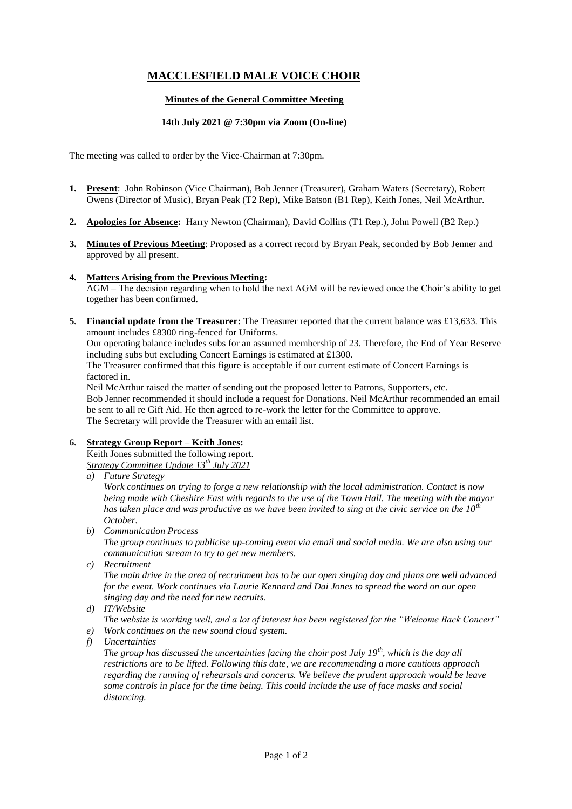# **MACCLESFIELD MALE VOICE CHOIR**

# **Minutes of the General Committee Meeting**

## **14th July 2021 @ 7:30pm via Zoom (On-line)**

The meeting was called to order by the Vice-Chairman at 7:30pm.

- **1. Present**: John Robinson (Vice Chairman), Bob Jenner (Treasurer), Graham Waters (Secretary), Robert Owens (Director of Music), Bryan Peak (T2 Rep), Mike Batson (B1 Rep), Keith Jones, Neil McArthur.
- **2. Apologies for Absence:** Harry Newton (Chairman), David Collins (T1 Rep.), John Powell (B2 Rep.)
- **3. Minutes of Previous Meeting**: Proposed as a correct record by Bryan Peak, seconded by Bob Jenner and approved by all present.

### **4. Matters Arising from the Previous Meeting:**

AGM – The decision regarding when to hold the next AGM will be reviewed once the Choir's ability to get together has been confirmed.

**5. Financial update from the Treasurer:** The Treasurer reported that the current balance was £13,633. This amount includes £8300 ring-fenced for Uniforms.

Our operating balance includes subs for an assumed membership of 23. Therefore, the End of Year Reserve including subs but excluding Concert Earnings is estimated at £1300.

The Treasurer confirmed that this figure is acceptable if our current estimate of Concert Earnings is factored in.

Neil McArthur raised the matter of sending out the proposed letter to Patrons, Supporters, etc. Bob Jenner recommended it should include a request for Donations. Neil McArthur recommended an email be sent to all re Gift Aid. He then agreed to re-work the letter for the Committee to approve. The Secretary will provide the Treasurer with an email list.

# **6. Strategy Group Report** – **Keith Jones:**

Keith Jones submitted the following report. *Strategy Committee Update 13th July 2021*

*a) Future Strategy*

*Work continues on trying to forge a new relationship with the local administration. Contact is now being made with Cheshire East with regards to the use of the Town Hall. The meeting with the mayor has taken place and was productive as we have been invited to sing at the civic service on the 10th October.*

*b) Communication Process*

*The group continues to publicise up-coming event via email and social media. We are also using our communication stream to try to get new members.*

*c) Recruitment*

*The main drive in the area of recruitment has to be our open singing day and plans are well advanced for the event. Work continues via Laurie Kennard and Dai Jones to spread the word on our open singing day and the need for new recruits.* 

*d) IT/Website*

*The website is working well, and a lot of interest has been registered for the "Welcome Back Concert"*

- *e) Work continues on the new sound cloud system.*
- *f) Uncertainties*

*The group has discussed the uncertainties facing the choir post July 19th, which is the day all restrictions are to be lifted. Following this date, we are recommending a more cautious approach regarding the running of rehearsals and concerts. We believe the prudent approach would be leave some controls in place for the time being. This could include the use of face masks and social distancing.*